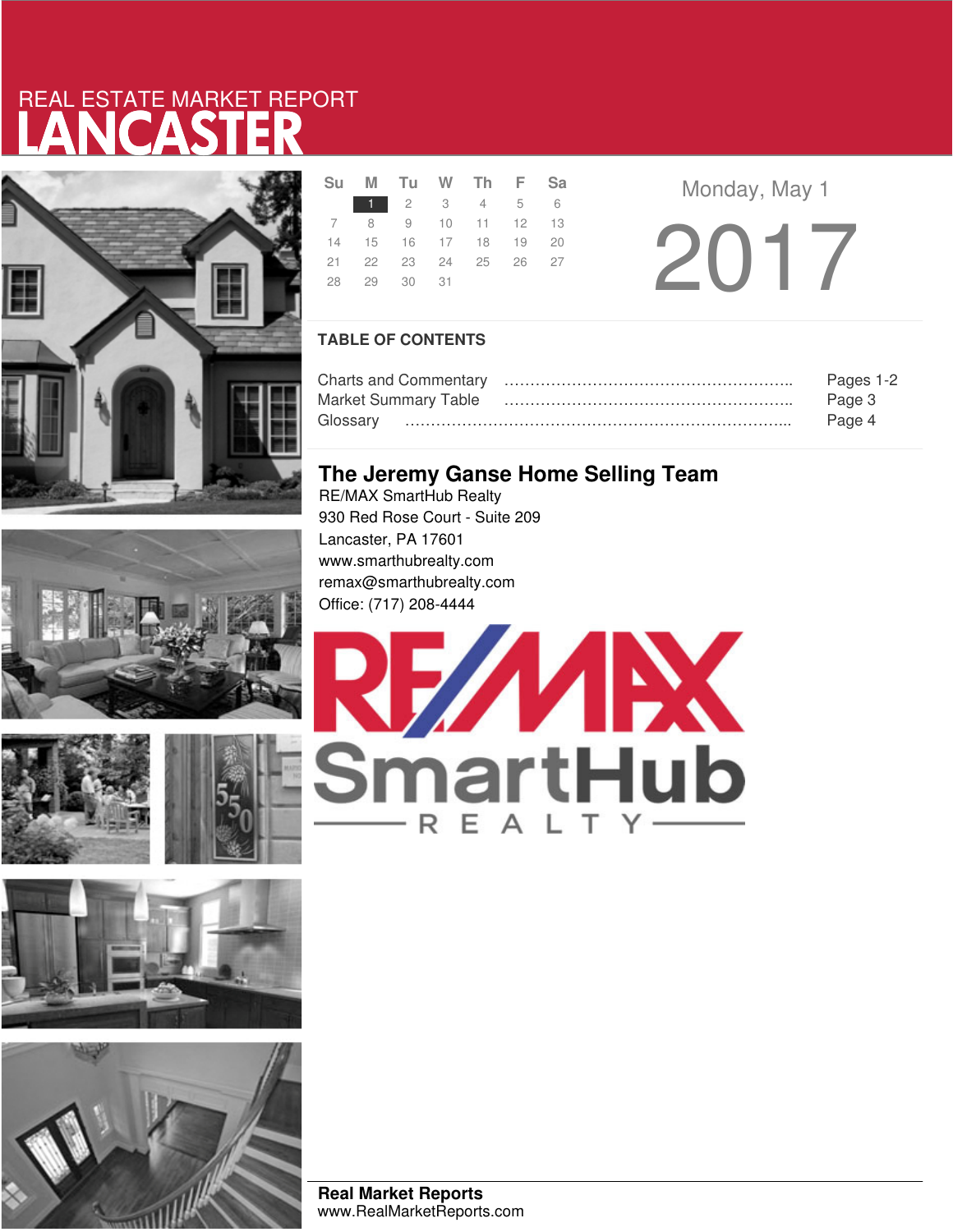# LANCASTER REAL ESTATE MARKET REPORT



|  |             | Su M Tu W Th F Sa          |  |  |
|--|-------------|----------------------------|--|--|
|  |             | 1 2 3 4 5 6                |  |  |
|  |             | 7 8 9 10 11 12 13          |  |  |
|  |             | 14  15  16  17  18  19  20 |  |  |
|  |             | 21  22  23  24  25  26  27 |  |  |
|  | 28 29 30 31 |                            |  |  |

**Monday, May 1** 2017

### **TABLE OF CONTENTS**

|                             | Pages 1-2 |
|-----------------------------|-----------|
| <b>Market Summary Table</b> | Page 3    |
|                             | Page 4    |

### **The Jeremy Ganse Home Selling Team**

RE/MAX SmartHub Realty 930 Red Rose Court - Suite 209 Lancaster, PA 17601 www.smarthubrealty.com remax@smarthubrealty.com Office: (717) 208-4444







**Real Market Reports** www.RealMarketReports.com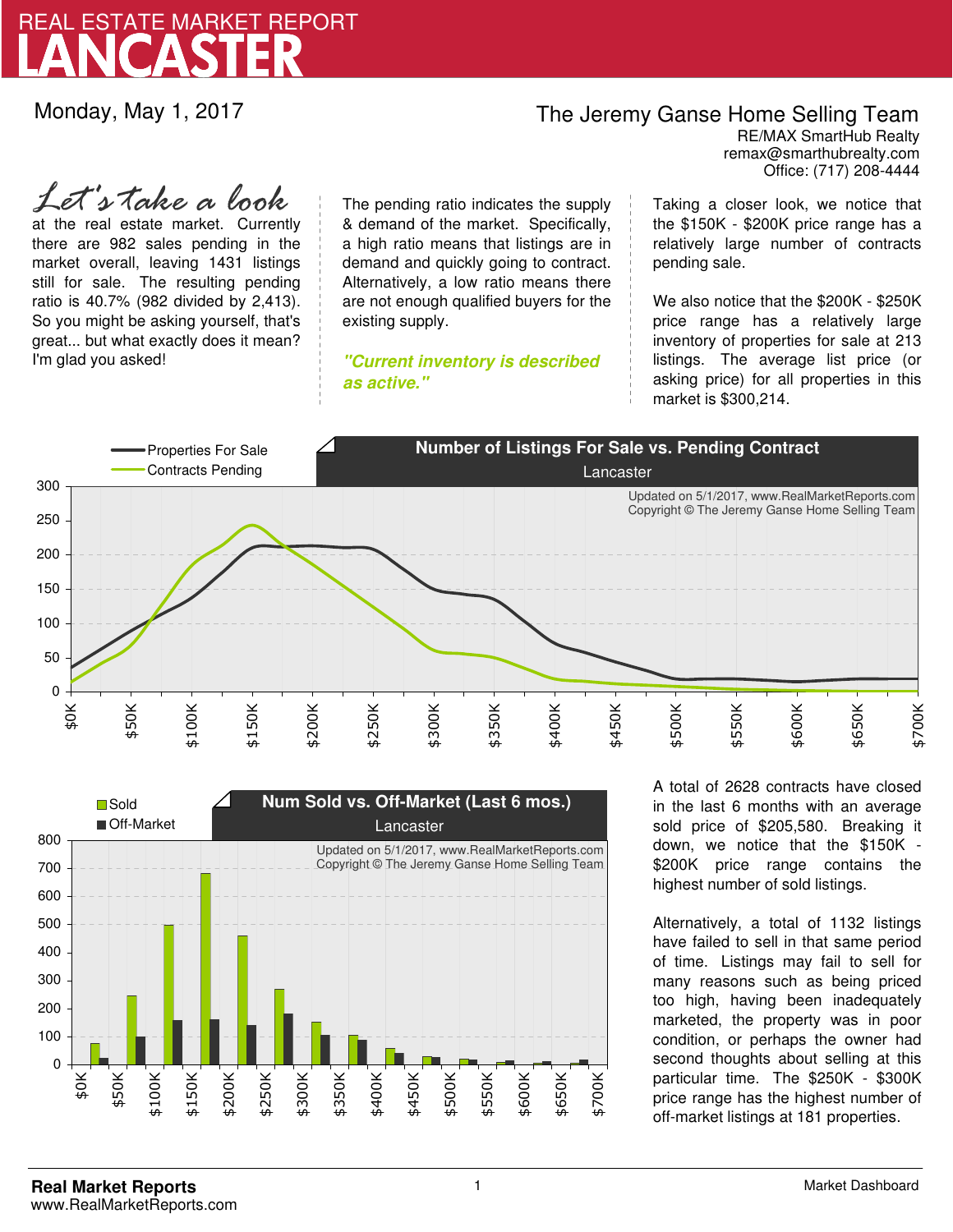

Monday, May 1, 2017

### The Jeremy Ganse Home Selling Team

remax@smarthubrealty.com RE/MAX SmartHub Realty Office: (717) 208-4444

at the real estate market. Currently there are 982 sales pending in the market overall, leaving 1431 listings still for sale. The resulting pending ratio is 40.7% (982 divided by 2,413). So you might be asking yourself, that's great... but what exactly does it mean? I'm glad you asked! *Let's take a look*

The pending ratio indicates the supply & demand of the market. Specifically, a high ratio means that listings are in demand and quickly going to contract. Alternatively, a low ratio means there are not enough qualified buyers for the existing supply.

**"Current inventory is described as active."**

Taking a closer look, we notice that the \$150K - \$200K price range has a relatively large number of contracts pending sale.

We also notice that the \$200K - \$250K price range has a relatively large inventory of properties for sale at 213 listings. The average list price (or asking price) for all properties in this market is \$300,214.





A total of 2628 contracts have closed in the last 6 months with an average sold price of \$205,580. Breaking it down, we notice that the \$150K - \$200K price range contains the highest number of sold listings.

Alternatively, a total of 1132 listings have failed to sell in that same period of time. Listings may fail to sell for many reasons such as being priced too high, having been inadequately marketed, the property was in poor condition, or perhaps the owner had second thoughts about selling at this particular time. The \$250K - \$300K price range has the highest number of off-market listings at 181 properties.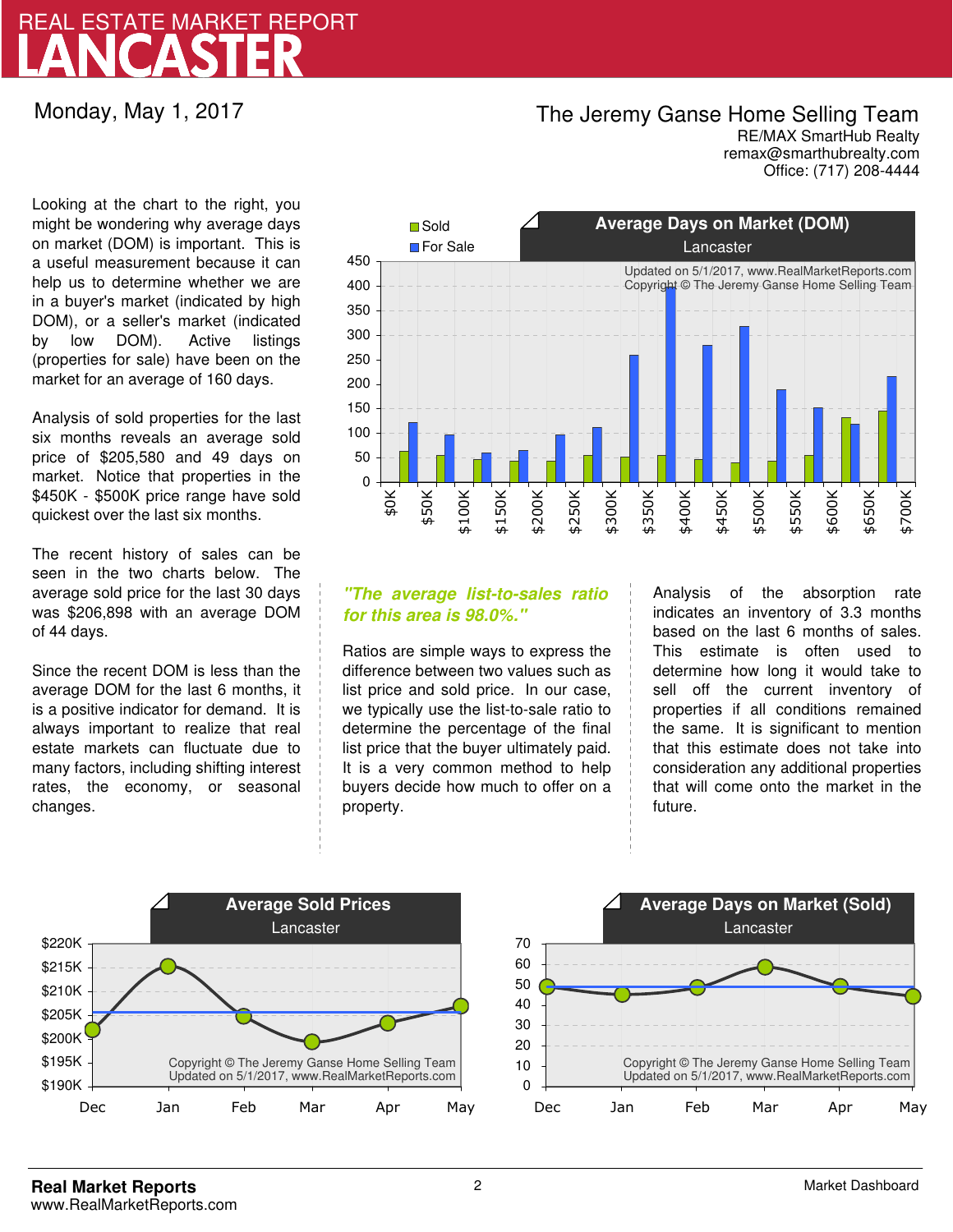## LANCASTER REAL ESTATE MARKET REPORT

Monday, May 1, 2017

### The Jeremy Ganse Home Selling Team

remax@smarthubrealty.com RE/MAX SmartHub Realty Office: (717) 208-4444

Looking at the chart to the right, you might be wondering why average days on market (DOM) is important. This is a useful measurement because it can help us to determine whether we are in a buyer's market (indicated by high DOM), or a seller's market (indicated by low DOM). Active listings (properties for sale) have been on the market for an average of 160 days.

Analysis of sold properties for the last six months reveals an average sold price of \$205,580 and 49 days on market. Notice that properties in the \$450K - \$500K price range have sold quickest over the last six months.

The recent history of sales can be seen in the two charts below. The average sold price for the last 30 days was \$206,898 with an average DOM of 44 days.

Since the recent DOM is less than the average DOM for the last 6 months, it is a positive indicator for demand. It is always important to realize that real estate markets can fluctuate due to many factors, including shifting interest rates, the economy, or seasonal changes.



### **"The average list-to-sales ratio for this area is 98.0%."**

Ratios are simple ways to express the difference between two values such as list price and sold price. In our case, we typically use the list-to-sale ratio to determine the percentage of the final list price that the buyer ultimately paid. It is a very common method to help buyers decide how much to offer on a property.

Analysis of the absorption rate indicates an inventory of 3.3 months based on the last 6 months of sales. This estimate is often used to determine how long it would take to sell off the current inventory of properties if all conditions remained the same. It is significant to mention that this estimate does not take into consideration any additional properties that will come onto the market in the future.



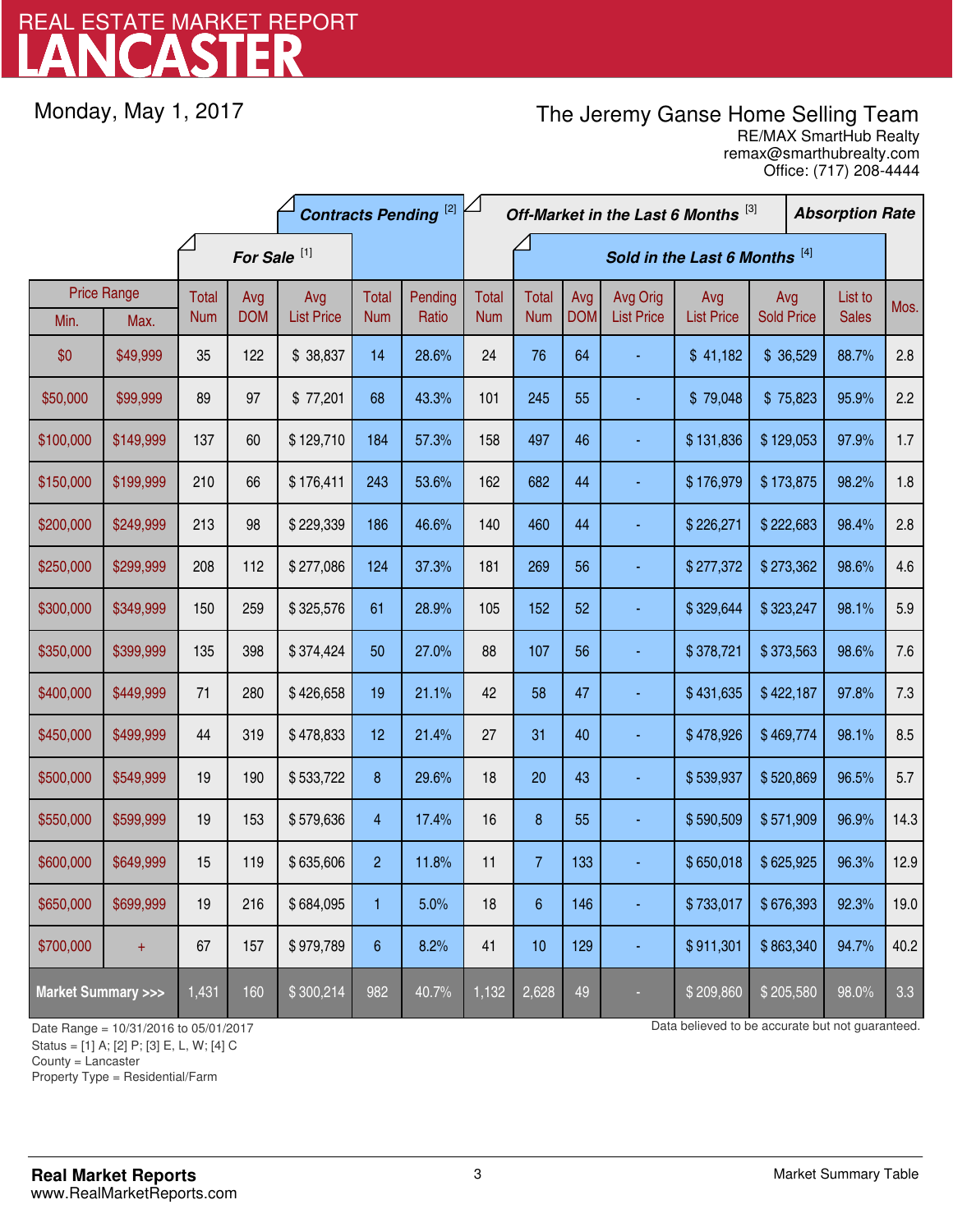## LANCASTER REAL ESTATE MARKET REPORT

Monday, May 1, 2017

## The Jeremy Ganse Home Selling Team

remax@smarthubrealty.com RE/MAX SmartHub Realty Office: (717) 208-4444

|                                    |                            | <b>Contracts Pending [2]</b> |                   |                          |                     | Off-Market in the Last 6 Months [3] |                            |                            |                   |                               |                          | <b>Absorption Rate</b>   |  |                         |      |
|------------------------------------|----------------------------|------------------------------|-------------------|--------------------------|---------------------|-------------------------------------|----------------------------|----------------------------|-------------------|-------------------------------|--------------------------|--------------------------|--|-------------------------|------|
|                                    |                            | For Sale <sup>[1]</sup>      |                   |                          |                     | Sold in the Last 6 Months [4]       |                            |                            |                   |                               |                          |                          |  |                         |      |
| Min.                               | <b>Price Range</b><br>Max. | Total<br><b>Num</b>          | Avg<br><b>DOM</b> | Avg<br><b>List Price</b> | Total<br><b>Num</b> | Pending<br>Ratio                    | <b>Total</b><br><b>Num</b> | <b>Total</b><br><b>Num</b> | Avg<br><b>DOM</b> | Avg Orig<br><b>List Price</b> | Avg<br><b>List Price</b> | Avg<br><b>Sold Price</b> |  | List to<br><b>Sales</b> | Mos. |
| \$0                                | \$49,999                   | 35                           | 122               | \$38,837                 | 14                  | 28.6%                               | 24                         | 76                         | 64                |                               | \$41,182                 | \$36,529                 |  | 88.7%                   | 2.8  |
| \$50,000                           | \$99,999                   | 89                           | 97                | \$77,201                 | 68                  | 43.3%                               | 101                        | 245                        | 55                |                               | \$79,048                 | \$75,823                 |  | 95.9%                   | 2.2  |
| \$100,000                          | \$149,999                  | 137                          | 60                | \$129,710                | 184                 | 57.3%                               | 158                        | 497                        | 46                |                               | \$131,836                | \$129,053                |  | 97.9%                   | 1.7  |
| \$150,000                          | \$199,999                  | 210                          | 66                | \$176,411                | 243                 | 53.6%                               | 162                        | 682                        | 44                |                               | \$176,979                | \$173,875                |  | 98.2%                   | 1.8  |
| \$200,000                          | \$249,999                  | 213                          | 98                | \$229,339                | 186                 | 46.6%                               | 140                        | 460                        | 44                |                               | \$226,271                | \$222,683                |  | 98.4%                   | 2.8  |
| \$250,000                          | \$299,999                  | 208                          | 112               | \$277,086                | 124                 | 37.3%                               | 181                        | 269                        | 56                | ä,                            | \$277,372                | \$273,362                |  | 98.6%                   | 4.6  |
| \$300,000                          | \$349,999                  | 150                          | 259               | \$325,576                | 61                  | 28.9%                               | 105                        | 152                        | 52                |                               | \$329,644                | \$323,247                |  | 98.1%                   | 5.9  |
| \$350,000                          | \$399,999                  | 135                          | 398               | \$374,424                | 50                  | 27.0%                               | 88                         | 107                        | 56                |                               | \$378,721                | \$373,563                |  | 98.6%                   | 7.6  |
| \$400,000                          | \$449,999                  | 71                           | 280               | \$426,658                | 19                  | 21.1%                               | 42                         | 58                         | 47                |                               | \$431,635                | \$422,187                |  | 97.8%                   | 7.3  |
| \$450,000                          | \$499,999                  | 44                           | 319               | \$478,833                | 12                  | 21.4%                               | 27                         | 31                         | 40                |                               | \$478,926                | \$469,774                |  | 98.1%                   | 8.5  |
| \$500,000                          | \$549,999                  | 19                           | 190               | \$533,722                | $\boldsymbol{8}$    | 29.6%                               | 18                         | 20                         | 43                |                               | \$539,937                | \$520,869                |  | 96.5%                   | 5.7  |
| \$550,000                          | \$599,999                  | 19                           | 153               | \$579,636                | $\overline{4}$      | 17.4%                               | 16                         | 8                          | 55                |                               | \$590,509                | \$571,909                |  | 96.9%                   | 14.3 |
| \$600,000                          | \$649,999                  | 15                           | 119               | \$635,606                | $\overline{2}$      | 11.8%                               | 11                         | $\overline{7}$             | 133               |                               | \$650,018                | \$625,925                |  | 96.3%                   | 12.9 |
| \$650,000                          | \$699,999                  | 19                           | 216               | \$684,095                | 1                   | 5.0%                                | 18                         | $\boldsymbol{6}$           | 146               |                               | \$733,017                | \$676,393                |  | 92.3%                   | 19.0 |
| \$700,000                          | $\ddot{}$                  | 67                           | 157               | \$979,789                | $\boldsymbol{6}$    | 8.2%                                | 41                         | 10                         | 129               | ٠                             | \$911,301                | \$863,340                |  | 94.7%                   | 40.2 |
| <b>Market Summary &gt;&gt;&gt;</b> |                            | 1,431                        | 160               | \$300,214                | 982                 | 40.7%                               | 1,132                      | 2,628                      | 49                |                               | \$209,860                | \$205,580                |  | 98.0%                   | 3.3  |

Status = [1] A; [2] P; [3] E, L, W; [4] C

County = Lancaster

1

Property Type = Residential/Farm

Date Range = 10/31/2016 to 05/01/2017 Date Range = 10/31/2016 to 05/01/2017